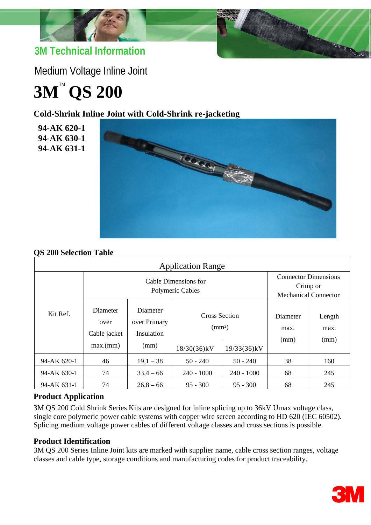

# **3M Technical Information**



Medium Voltage Inline Joint

# **3M<sup>™</sup> QS 200**

# **Cold-Shrink Inline Joint with Cold-Shrink re-jacketing**

**94-AK 620-1 94-AK 631-1 94-AK 630-1**



# **QS 200 Selection Table**

| <b>Application Range</b> |                                              |                                                |                                                                             |              |                                                                        |                        |
|--------------------------|----------------------------------------------|------------------------------------------------|-----------------------------------------------------------------------------|--------------|------------------------------------------------------------------------|------------------------|
| Kit Ref.                 | Cable Dimensions for<br>Polymeric Cables     |                                                |                                                                             |              | <b>Connector Dimensions</b><br>Crimp or<br><b>Mechanical Connector</b> |                        |
|                          | Diameter<br>over<br>Cable jacket<br>max.(mm) | Diameter<br>over Primary<br>Insulation<br>(mm) | <b>Cross Section</b><br>$\text{(mm}^2)$<br>$18/30(36)$ kV<br>$19/33(36)$ kV |              | Diameter<br>max.<br>(mm)                                               | Length<br>max.<br>(mm) |
| 94-AK 620-1              | 46                                           | $19,1 - 38$                                    | $50 - 240$                                                                  | $50 - 240$   | 38                                                                     | 160                    |
| 94-AK 630-1              | 74                                           | $33,4-66$                                      | $240 - 1000$                                                                | $240 - 1000$ | 68                                                                     | 245                    |
| 94-AK 631-1              | 74                                           | $26,8 - 66$                                    | $95 - 300$                                                                  | $95 - 300$   | 68                                                                     | 245                    |

# **Product Application**

3M QS 200 Cold Shrink Series Kits are designed for inline splicing up to 36kV Umax voltage class, single core polymeric power cable systems with copper wire screen according to HD 620 (IEC 60502). Splicing medium voltage power cables of different voltage classes and cross sections is possible.

#### **Product Identification**

3M QS 200 Series Inline Joint kits are marked with supplier name, cable cross section ranges, voltage classes and cable type, storage conditions and manufacturing codes for product traceability.